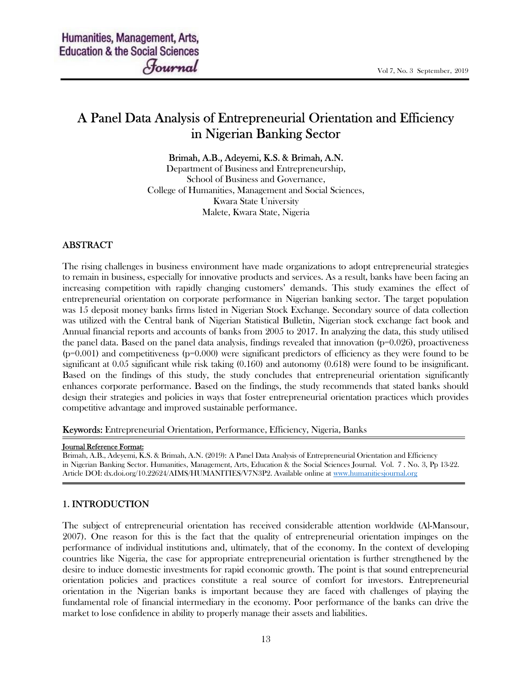# A Panel Data Analysis of Entrepreneurial Orientation and Efficiency in Nigerian Banking Sector

Brimah, A.B., Adeyemi, K.S. & Brimah, A.N.

Department of Business and Entrepreneurship, School of Business and Governance, College of Humanities, Management and Social Sciences, Kwara State University Malete, Kwara State, Nigeria

### ABSTRACT

The rising challenges in business environment have made organizations to adopt entrepreneurial strategies to remain in business, especially for innovative products and services. As a result, banks have been facing an increasing competition with rapidly changing customers' demands. This study examines the effect of entrepreneurial orientation on corporate performance in Nigerian banking sector. The target population was 15 deposit money banks firms listed in Nigerian Stock Exchange. Secondary source of data collection was utilized with the Central bank of Nigerian Statistical Bulletin, Nigerian stock exchange fact book and Annual financial reports and accounts of banks from 2005 to 2017. In analyzing the data, this study utilised the panel data. Based on the panel data analysis, findings revealed that innovation  $(p=0.026)$ , proactiveness  $(p=0.001)$  and competitiveness  $(p=0.000)$  were significant predictors of efficiency as they were found to be significant at 0.05 significant while risk taking (0.160) and autonomy (0.618) were found to be insignificant. Based on the findings of this study, the study concludes that entrepreneurial orientation significantly enhances corporate performance. Based on the findings, the study recommends that stated banks should design their strategies and policies in ways that foster entrepreneurial orientation practices which provides competitive advantage and improved sustainable performance.

Keywords: Entrepreneurial Orientation, Performance, Efficiency, Nigeria, Banks

#### Journal Reference Format:

Brimah, A.B., Adeyemi, K.S. & Brimah, A.N. (2019): A Panel Data Analysis of Entrepreneurial Orientation and Efficiency in Nigerian Banking Sector. Humanities, Management, Arts, Education & the Social Sciences Journal. Vol. 7 . No. 3, Pp 13-22. Article DOI: dx.doi.org/10.22624/AIMS/HUMANITIES/V7N3P2. Available online at www.humanitiesjournal.org

### 1. INTRODUCTION

The subject of entrepreneurial orientation has received considerable attention worldwide (Al-Mansour, 2007). One reason for this is the fact that the quality of entrepreneurial orientation impinges on the performance of individual institutions and, ultimately, that of the economy. In the context of developing countries like Nigeria, the case for appropriate entrepreneurial orientation is further strengthened by the desire to induce domestic investments for rapid economic growth. The point is that sound entrepreneurial orientation policies and practices constitute a real source of comfort for investors. Entrepreneurial orientation in the Nigerian banks is important because they are faced with challenges of playing the fundamental role of financial intermediary in the economy. Poor performance of the banks can drive the market to lose confidence in ability to properly manage their assets and liabilities.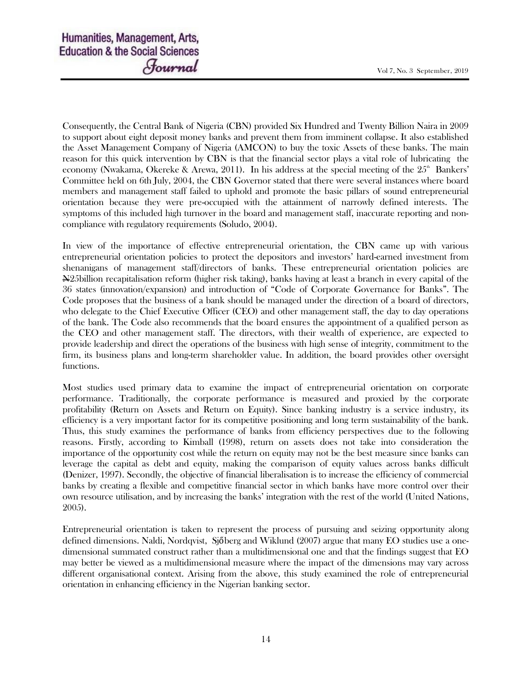Consequently, the Central Bank of Nigeria (CBN) provided Six Hundred and Twenty Billion Naira in 2009 to support about eight deposit money banks and prevent them from imminent collapse. It also established the Asset Management Company of Nigeria (AMCON) to buy the toxic Assets of these banks. The main reason for this quick intervention by CBN is that the financial sector plays a vital role of lubricating the economy (Nwakama, Okereke & Arewa, 2011). In his address at the special meeting of the  $25^{\circ}$  Bankers' Committee held on 6th July, 2004, the CBN Governor stated that there were several instances where board members and management staff failed to uphold and promote the basic pillars of sound entrepreneurial orientation because they were pre-occupied with the attainment of narrowly defined interests. The symptoms of this included high turnover in the board and management staff, inaccurate reporting and noncompliance with regulatory requirements (Soludo, 2004).

In view of the importance of effective entrepreneurial orientation, the CBN came up with various entrepreneurial orientation policies to protect the depositors and investors' hard-earned investment from shenanigans of management staff/directors of banks. These entrepreneurial orientation policies are N25billion recapitalisation reform (higher risk taking), banks having at least a branch in every capital of the 36 states (innovation/expansion) and introduction of "Code of Corporate Governance for Banks". The Code proposes that the business of a bank should be managed under the direction of a board of directors, who delegate to the Chief Executive Officer (CEO) and other management staff, the day to day operations of the bank. The Code also recommends that the board ensures the appointment of a qualified person as the CEO and other management staff. The directors, with their wealth of experience, are expected to provide leadership and direct the operations of the business with high sense of integrity, commitment to the firm, its business plans and long-term shareholder value. In addition, the board provides other oversight functions.

Most studies used primary data to examine the impact of entrepreneurial orientation on corporate performance. Traditionally, the corporate performance is measured and proxied by the corporate profitability (Return on Assets and Return on Equity). Since banking industry is a service industry, its efficiency is a very important factor for its competitive positioning and long term sustainability of the bank. Thus, this study examines the performance of banks from efficiency perspectives due to the following reasons. Firstly, according to Kimball (1998), return on assets does not take into consideration the importance of the opportunity cost while the return on equity may not be the best measure since banks can leverage the capital as debt and equity, making the comparison of equity values across banks difficult (Denizer, 1997). Secondly, the objective of financial liberalisation is to increase the efficiency of commercial banks by creating a flexible and competitive financial sector in which banks have more control over their own resource utilisation, and by increasing the banks' integration with the rest of the world (United Nations, 2005).

Entrepreneurial orientation is taken to represent the process of pursuing and seizing opportunity along defined dimensions. Naldi, Nordqvist, Sjőberg and Wiklund (2007) argue that many EO studies use a onedimensional summated construct rather than a multidimensional one and that the findings suggest that EO may better be viewed as a multidimensional measure where the impact of the dimensions may vary across different organisational context. Arising from the above, this study examined the role of entrepreneurial orientation in enhancing efficiency in the Nigerian banking sector.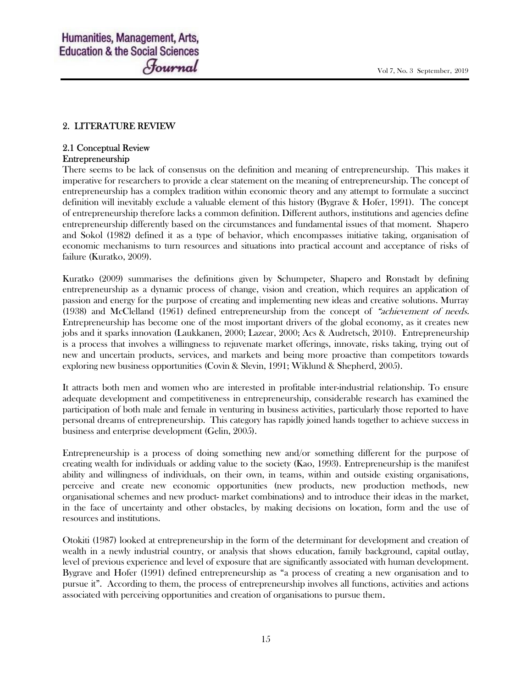### 2. LITERATURE REVIEW

### 2.1 Conceptual Review Entrepreneurship

There seems to be lack of consensus on the definition and meaning of entrepreneurship. This makes it imperative for researchers to provide a clear statement on the meaning of entrepreneurship. The concept of entrepreneurship has a complex tradition within economic theory and any attempt to formulate a succinct definition will inevitably exclude a valuable element of this history (Bygrave & Hofer, 1991). The concept of entrepreneurship therefore lacks a common definition. Different authors, institutions and agencies define entrepreneurship differently based on the circumstances and fundamental issues of that moment. Shapero and Sokol (1982) defined it as a type of behavior, which encompasses initiative taking, organisation of economic mechanisms to turn resources and situations into practical account and acceptance of risks of failure (Kuratko, 2009).

Kuratko (2009) summarises the definitions given by Schumpeter, Shapero and Ronstadt by defining entrepreneurship as a dynamic process of change, vision and creation, which requires an application of passion and energy for the purpose of creating and implementing new ideas and creative solutions. Murray (1938) and McClelland (1961) defined entrepreneurship from the concept of "achievement of needs. Entrepreneurship has become one of the most important drivers of the global economy, as it creates new jobs and it sparks innovation (Laukkanen, 2000; Lazear, 2000; Acs & Audretsch, 2010). Entrepreneurship is a process that involves a willingness to rejuvenate market offerings, innovate, risks taking, trying out of new and uncertain products, services, and markets and being more proactive than competitors towards exploring new business opportunities (Covin & Slevin, 1991; Wiklund & Shepherd, 2005).

It attracts both men and women who are interested in profitable inter-industrial relationship. To ensure adequate development and competitiveness in entrepreneurship, considerable research has examined the participation of both male and female in venturing in business activities, particularly those reported to have personal dreams of entrepreneurship. This category has rapidly joined hands together to achieve success in business and enterprise development (Gelin, 2005).

Entrepreneurship is a process of doing something new and/or something different for the purpose of creating wealth for individuals or adding value to the society (Kao, 1993). Entrepreneurship is the manifest ability and willingness of individuals, on their own, in teams, within and outside existing organisations, perceive and create new economic opportunities (new products, new production methods, new organisational schemes and new product- market combinations) and to introduce their ideas in the market, in the face of uncertainty and other obstacles, by making decisions on location, form and the use of resources and institutions.

Otokiti (1987) looked at entrepreneurship in the form of the determinant for development and creation of wealth in a newly industrial country, or analysis that shows education, family background, capital outlay, level of previous experience and level of exposure that are significantly associated with human development. Bygrave and Hofer (1991) defined entrepreneurship as "a process of creating a new organisation and to pursue it". According to them, the process of entrepreneurship involves all functions, activities and actions associated with perceiving opportunities and creation of organisations to pursue them.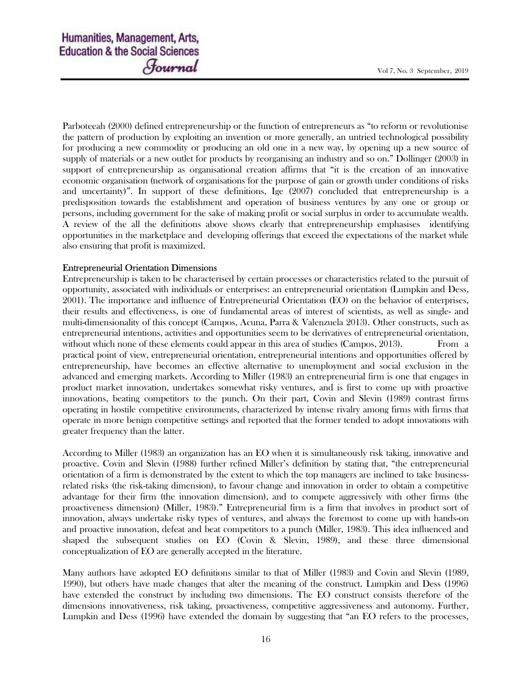Parboteeah (2000) defined entrepreneurship or the function of entrepreneurs as "to reform or revolutionise the pattern of production by exploiting an invention or more generally, an untried technological possibility for producing a new commodity or producing an old one in a new way, by opening up a new source of supply of materials or a new outlet for products by reorganising an industry and so on." Dollinger (2003) in support of entrepreneurship as organisational creation affirms that "it is the creation of an innovative economic organisation (network of organisations for the purpose of gain or growth under conditions of risks and uncertainty)". In support of these definitions, Ige (2007) concluded that entrepreneurship is a predisposition towards the establishment and operation of business ventures by any one or group or persons, including government for the sake of making profit or social surplus in order to accumulate wealth. A review of the all the definitions above shows clearly that entrepreneurship emphasises identifying opportunities in the marketplace and developing offerings that exceed the expectations of the market while also ensuring that profit is maximized.

### Entrepreneurial Orientation Dimensions

Entrepreneurship is taken to be characterised by certain processes or characteristics related to the pursuit of opportunity, associated with individuals or enterprises: an entrepreneurial orientation (Lumpkin and Dess, 2001). The importance and influence of Entrepreneurial Orientation (EO) on the behavior of enterprises, their results and effectiveness, is one of fundamental areas of interest of scientists, as well as single- and multi-dimensionality of this concept (Campos, Acuna, Parra & Valenzuela 2013). Other constructs, such as entrepreneurial intentions, activities and opportunities seem to be derivatives of entrepreneurial orientation, without which none of these elements could appear in this area of studies (Campos, 2013). From a practical point of view, entrepreneurial orientation, entrepreneurial intentions and opportunities offered by entrepreneurship, have becomes an effective alternative to unemployment and social exclusion in the advanced and emerging markets. According to Miller (1983) an entrepreneurial firm is one that engages in product market innovation, undertakes somewhat risky ventures, and is first to come up with proactive innovations, beating competitors to the punch. On their part, Covin and Slevin (1989) contrast firms operating in hostile competitive environments, characterized by intense rivalry among firms with firms that operate in more benign competitive settings and reported that the former tended to adopt innovations with greater frequency than the latter.

According to Miller (1983) an organization has an EO when it is simultaneously risk taking, innovative and proactive. Covin and Slevin (1988) further refined Miller's definition by stating that, "the entrepreneurial orientation of a firm is demonstrated by the extent to which the top managers are inclined to take businessrelated risks (the risk-taking dimension), to favour change and innovation in order to obtain a competitive advantage for their firm (the innovation dimension), and to compete aggressively with other firms (the proactiveness dimension) (Miller, 1983)." Entrepreneurial firm is a firm that involves in product sort of innovation, always undertake risky types of ventures, and always the foremost to come up with hands-on and proactive innovation, defeat and beat competitors to a punch (Miller, 1983). This idea influenced and shaped the subsequent studies on EO (Covin & Slevin, 1989), and these three dimensional conceptualization of EO are generally accepted in the literature.

Many authors have adopted EO definitions similar to that of Miller (1983) and Covin and Slevin (1989, 1990), but others have made changes that alter the meaning of the construct. Lumpkin and Dess (1996) have extended the construct by including two dimensions. The EO construct consists therefore of the dimensions innovativeness, risk taking, proactiveness, competitive aggressiveness and autonomy. Further, Lumpkin and Dess (1996) have extended the domain by suggesting that "an EO refers to the processes,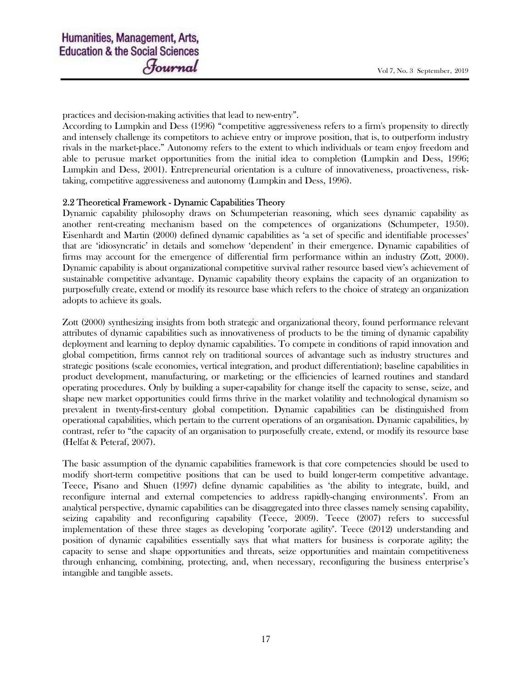practices and decision-making activities that lead to new-entry".

According to Lumpkin and Dess (1996) "competitive aggressiveness refers to a firm's propensity to directly and intensely challenge its competitors to achieve entry or improve position, that is, to outperform industry rivals in the market-place." Autonomy refers to the extent to which individuals or team enjoy freedom and able to perusue market opportunities from the initial idea to completion (Lumpkin and Dess, 1996; Lumpkin and Dess, 2001). Entrepreneurial orientation is a culture of innovativeness, proactiveness, risktaking, competitive aggressiveness and autonomy (Lumpkin and Dess, 1996).

### 2.2 Theoretical Framework - Dynamic Capabilities Theory

Dynamic capability philosophy draws on Schumpeterian reasoning, which sees dynamic capability as another rent-creating mechanism based on the competences of organizations (Schumpeter, 1950). Eisenhardt and Martin (2000) defined dynamic capabilities as 'a set of specific and identifiable processes' that are 'idiosyncratic' in details and somehow 'dependent' in their emergence. Dynamic capabilities of firms may account for the emergence of differential firm performance within an industry (Zott, 2000). Dynamic capability is about organizational competitive survival rather resource based view's achievement of sustainable competitive advantage. Dynamic capability theory explains the capacity of an organization to purposefully create, extend or modify its resource base which refers to the choice of strategy an organization adopts to achieve its goals.

Zott (2000) synthesizing insights from both strategic and organizational theory, found performance relevant attributes of dynamic capabilities such as innovativeness of products to be the timing of dynamic capability deployment and learning to deploy dynamic capabilities. To compete in conditions of rapid innovation and global competition, firms cannot rely on traditional sources of advantage such as industry structures and strategic positions (scale economies, vertical integration, and product differentiation); baseline capabilities in product development, manufacturing, or marketing; or the efficiencies of learned routines and standard operating procedures. Only by building a super-capability for change itself the capacity to sense, seize, and shape new market opportunities could firms thrive in the market volatility and technological dynamism so prevalent in twenty-first-century global competition. Dynamic capabilities can be distinguished from operational capabilities, which pertain to the current operations of an organisation. Dynamic capabilities, by contrast, refer to "the capacity of an organisation to purposefully create, extend, or modify its resource base (Helfat & Peteraf, 2007).

The basic assumption of the dynamic capabilities framework is that core competencies should be used to modify short-term competitive positions that can be used to build longer-term competitive advantage. Teece, Pisano and Shuen (1997) define dynamic capabilities as 'the ability to integrate, build, and reconfigure internal and external competencies to address rapidly-changing environments'. From an analytical perspective, dynamic capabilities can be disaggregated into three classes namely sensing capability, seizing capability and reconfiguring capability (Teece, 2009). Teece (2007) refers to successful implementation of these three stages as developing "corporate agility". Teece (2012) understanding and position of dynamic capabilities essentially says that what matters for business is corporate agility; the capacity to sense and shape opportunities and threats, seize opportunities and maintain competitiveness through enhancing, combining, protecting, and, when necessary, reconfiguring the business enterprise's intangible and tangible assets.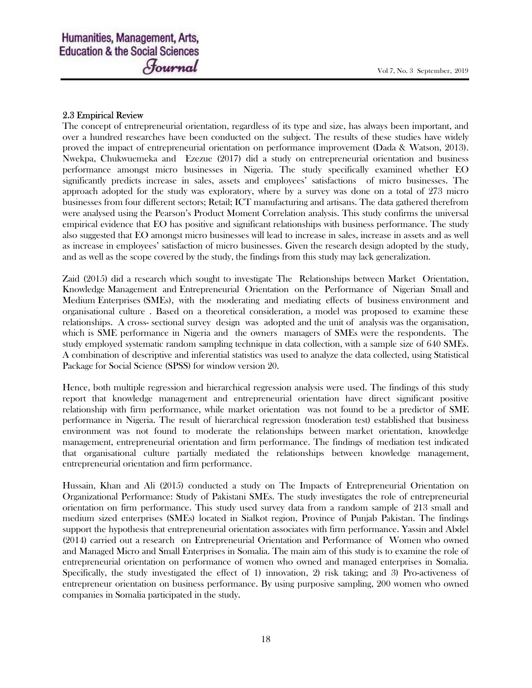### 2.3 Empirical Review

The concept of entrepreneurial orientation, regardless of its type and size, has always been important, and over a hundred researches have been conducted on the subject. The results of these studies have widely proved the impact of entrepreneurial orientation on performance improvement (Dada & Watson, 2013). Nwekpa, Chukwuemeka and Ezezue (2017) did a study on entrepreneurial orientation and business performance amongst micro businesses in Nigeria. The study specifically examined whether EO significantly predicts increase in sales, assets and employees' satisfactions of micro businesses. The approach adopted for the study was exploratory, where by a survey was done on a total of 273 micro businesses from four different sectors; Retail; ICT manufacturing and artisans. The data gathered therefrom were analysed using the Pearson's Product Moment Correlation analysis. This study confirms the universal empirical evidence that EO has positive and significant relationships with business performance. The study also suggested that EO amongst micro businesses will lead to increase in sales, increase in assets and as well as increase in employees' satisfaction of micro businesses. Given the research design adopted by the study, and as well as the scope covered by the study, the findings from this study may lack generalization.

Zaid (2015) did a research which sought to investigate The Relationships between Market Orientation, Knowledge Management and Entrepreneurial Orientation on the Performance of Nigerian Small and Medium Enterprises (SMEs), with the moderating and mediating effects of business environment and organisational culture . Based on a theoretical consideration, a model was proposed to examine these relationships. A cross- sectional survey design was adopted and the unit of analysis was the organisation, which is SME performance in Nigeria and the owners managers of SMEs were the respondents. The study employed systematic random sampling technique in data collection, with a sample size of 640 SMEs. A combination of descriptive and inferential statistics was used to analyze the data collected, using Statistical Package for Social Science (SPSS) for window version 20.

Hence, both multiple regression and hierarchical regression analysis were used. The findings of this study report that knowledge management and entrepreneurial orientation have direct significant positive relationship with firm performance, while market orientation was not found to be a predictor of SME performance in Nigeria. The result of hierarchical regression (moderation test) established that business environment was not found to moderate the relationships between market orientation, knowledge management, entrepreneurial orientation and firm performance. The findings of mediation test indicated that organisational culture partially mediated the relationships between knowledge management, entrepreneurial orientation and firm performance.

Hussain, Khan and Ali (2015) conducted a study on The Impacts of Entrepreneurial Orientation on Organizational Performance: Study of Pakistani SMEs. The study investigates the role of entrepreneurial orientation on firm performance. This study used survey data from a random sample of 213 small and medium sized enterprises (SMEs) located in Sialkot region, Province of Punjab Pakistan. The findings support the hypothesis that entrepreneurial orientation associates with firm performance. Yassin and Abdel (2014) carried out a research on Entrepreneurial Orientation and Performance of Women who owned and Managed Micro and Small Enterprises in Somalia. The main aim of this study is to examine the role of entrepreneurial orientation on performance of women who owned and managed enterprises in Somalia. Specifically, the study investigated the effect of 1) innovation, 2) risk taking; and 3) Pro-activeness of entrepreneur orientation on business performance. By using purposive sampling, 200 women who owned companies in Somalia participated in the study.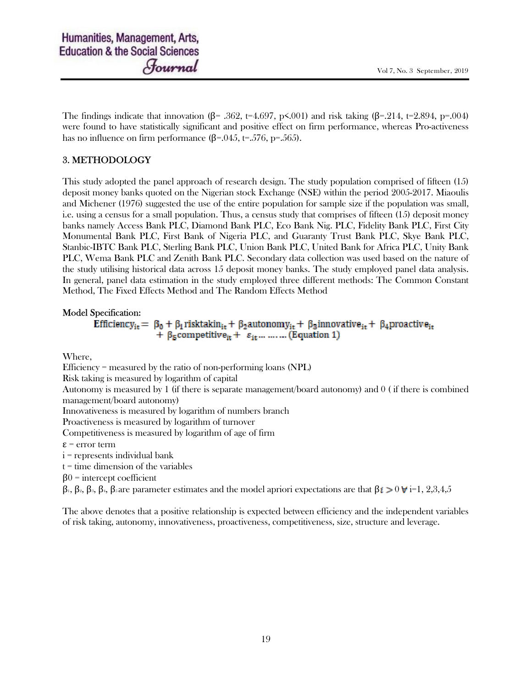The findings indicate that innovation ( $\beta$ = .362, t=4.697, p<.001) and risk taking ( $\beta$ =.214, t=2.894, p=.004) were found to have statistically significant and positive effect on firm performance, whereas Pro-activeness has no influence on firm performance  $(\beta = .045, t=.576, p=.565)$ .

## 3. METHODOLOGY

This study adopted the panel approach of research design. The study population comprised of fifteen (15) deposit money banks quoted on the Nigerian stock Exchange (NSE) within the period 2005-2017. Miaoulis and Michener (1976) suggested the use of the entire population for sample size if the population was small, i.e. using a census for a small population. Thus, a census study that comprises of fifteen (15) deposit money banks namely Access Bank PLC, Diamond Bank PLC, Eco Bank Nig. PLC, Fidelity Bank PLC, First City Monumental Bank PLC, First Bank of Nigeria PLC, and Guaranty Trust Bank PLC, Skye Bank PLC, Stanbic-IBTC Bank PLC, Sterling Bank PLC, Union Bank PLC, United Bank for Africa PLC, Unity Bank PLC, Wema Bank PLC and Zenith Bank PLC. Secondary data collection was used based on the nature of the study utilising historical data across 15 deposit money banks. The study employed panel data analysis. In general, panel data estimation in the study employed three different methods: The Common Constant Method, The Fixed Effects Method and The Random Effects Method

### Model Specification:

Efficiency<sub>it</sub> =  $\beta_0 + \beta_1$ risktakin<sub>it</sub> +  $\beta_2$ autonomy<sub>it</sub> +  $\beta_3$ innovative<sub>it</sub> +  $\beta_4$ proactive<sub>it</sub> +  $\beta$ <sub>5</sub> competitive<sub>it</sub> +  $\varepsilon$ <sub>it</sub>... ...... (Equation 1)

Where,

Efficiency = measured by the ratio of non-performing loans (NPL)

Risk taking is measured by logarithm of capital

Autonomy is measured by 1 (if there is separate management/board autonomy) and 0 ( if there is combined management/board autonomy)

Innovativeness is measured by logarithm of numbers branch

Proactiveness is measured by logarithm of turnover

Competitiveness is measured by logarithm of age of firm

ε = error term

i = represents individual bank

 $t =$  time dimension of the variables

 $β0 =$  intercept coefficient

β<sub>1</sub>, β<sub>2</sub>, β<sub>3</sub>, β<sub>3</sub>, β<sub>5</sub> are parameter estimates and the model apriori expectations are that  $β$ **i** $\geq 0$   $\forall$ **i**=1, 2,3,4,5

The above denotes that a positive relationship is expected between efficiency and the independent variables of risk taking, autonomy, innovativeness, proactiveness, competitiveness, size, structure and leverage.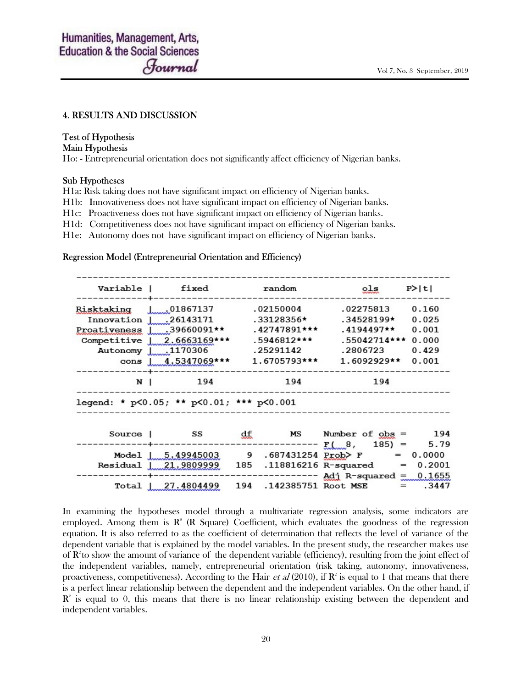### 4. RESULTS AND DISCUSSION

### Test of Hypothesis

### Main Hypothesis

Ho: - Entrepreneurial orientation does not significantly affect efficiency of Nigerian banks.

#### Sub Hypotheses

H1a: Risk taking does not have significant impact on efficiency of Nigerian banks.

H1b: Innovativeness does not have significant impact on efficiency of Nigerian banks.

H1c: Proactiveness does not have significant impact on efficiency of Nigerian banks.

H1d: Competitiveness does not have significant impact on efficiency of Nigerian banks.

H1e: Autonomy does not have significant impact on efficiency of Nigerian banks.

#### Regression Model (Entrepreneurial Orientation and Efficiency)

|                                          | Variable   fixed           |     | random                  | $_{\text{o,ls}}$                                   | P >  t |
|------------------------------------------|----------------------------|-----|-------------------------|----------------------------------------------------|--------|
| Risktaking 1.01867137                    |                            |     | 02150004                | .02275813                                          | 0.160  |
| Innovation $\frac{1}{26143171}$          |                            |     | .33128356*              | .34528199*                                         | 0.025  |
| Proativeness $1$ 39660091**              |                            |     | $.42747891***$          | .4194497**                                         | 0.001  |
|                                          | Competitive 1 2.6663169*** |     | .5946812***             | .55042714***                                       | 0.000  |
| Autonomy 1.170306                        |                            |     | .25291142               | .2806723                                           | 0.429  |
|                                          | cons   $4.5347069$ ***     |     | 1.6705793***            | $1.6092929**$                                      | 0.001  |
| N                                        | 194                        |     | 194                     | 194                                                |        |
| legend: * p<0.05; ** p<0.01; *** p<0.001 |                            |     |                         |                                                    |        |
| Source                                   |                            |     |                         | SS $df$ MS Number of $obs = 194$                   |        |
|                                          |                            |     |                         |                                                    | 5.79   |
|                                          |                            |     |                         | Model   $5.49945003$ 9 .687431254 Prob> F = 0.0000 |        |
| Residual                                 | 21.9809999                 | 185 |                         | $.118816216 R$ -squared =                          | 0.2001 |
|                                          |                            |     |                         | Adj R-squared $\equiv$                             | 0.1655 |
| Total                                    | 27.4804499                 |     | 194 .142385751 Root MSE | $=$                                                | .3447  |

In examining the hypotheses model through a multivariate regression analysis, some indicators are employed. Among them is  $\mathbb{R}^2$  (R Square) Coefficient, which evaluates the goodness of the regression equation. It is also referred to as the coefficient of determination that reflects the level of variance of the dependent variable that is explained by the model variables. In the present study, the researcher makes use of  $\mathbb{R}^2$  to show the amount of variance of the dependent variable (efficiency), resulting from the joint effect of the independent variables, namely, entrepreneurial orientation (risk taking, autonomy, innovativeness, proactiveness, competitiveness). According to the Hair *et al* (2010), if  $\mathbb{R}^2$  is equal to 1 that means that there is a perfect linear relationship between the dependent and the independent variables. On the other hand, if  $\mathbb{R}^2$  is equal to 0, this means that there is no linear relationship existing between the dependent and independent variables.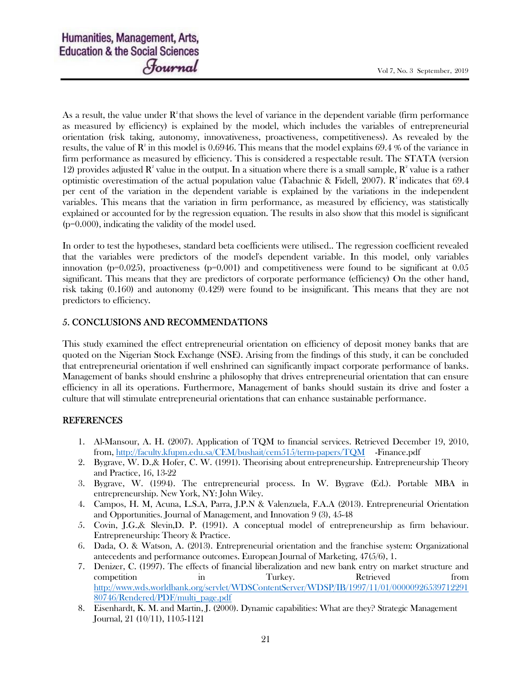As a result, the value under  $\mathbb{R}^2$  that shows the level of variance in the dependent variable (firm performance as measured by efficiency) is explained by the model, which includes the variables of entrepreneurial orientation (risk taking, autonomy, innovativeness, proactiveness, competitiveness). As revealed by the results, the value of  $\mathbf{R}^2$  in this model is 0.6946. This means that the model explains 69.4 % of the variance in firm performance as measured by efficiency. This is considered a respectable result. The STATA (version 12) provides adjusted  $\mathbb{R}^2$  value in the output. In a situation where there is a small sample,  $\mathbb{R}^2$  value is a rather optimistic overestimation of the actual population value (Tabachnic & Fidell, 2007).  $\mathbb{R}^2$  indicates that 69.4 per cent of the variation in the dependent variable is explained by the variations in the independent variables. This means that the variation in firm performance, as measured by efficiency, was statistically explained or accounted for by the regression equation. The results in also show that this model is significant (p=0.000), indicating the validity of the model used.

In order to test the hypotheses, standard beta coefficients were utilised.. The regression coefficient revealed that the variables were predictors of the model's dependent variable. In this model, only variables innovation ( $p=0.025$ ), proactiveness ( $p=0.001$ ) and competitiveness were found to be significant at 0.05 significant. This means that they are predictors of corporate performance (efficiency) On the other hand, risk taking (0.160) and autonomy (0.429) were found to be insignificant. This means that they are not predictors to efficiency.

### 5. CONCLUSIONS AND RECOMMENDATIONS

This study examined the effect entrepreneurial orientation on efficiency of deposit money banks that are quoted on the Nigerian Stock Exchange (NSE). Arising from the findings of this study, it can be concluded that entrepreneurial orientation if well enshrined can significantly impact corporate performance of banks. Management of banks should enshrine a philosophy that drives entrepreneurial orientation that can ensure efficiency in all its operations. Furthermore, Management of banks should sustain its drive and foster a culture that will stimulate entrepreneurial orientations that can enhance sustainable performance.

### REFERENCES

- 1. Al-Mansour, A. H. (2007). Application of TQM to financial services. Retrieved December 19, 2010, from, http://faculty.kfupm.edu.sa/CEM/bushait/cem515/term-papers/TQM -Finance.pdf
- 2. Bygrave, W. D.,& Hofer, C. W. (1991). Theorising about entrepreneurship. Entrepreneurship Theory and Practice, 16, 13-22
- 3. Bygrave, W. (1994). The entrepreneurial process. In W. Bygrave (Ed.). Portable MBA in entrepreneurship. New York, NY: John Wiley.
- 4. Campos, H. M, Acuna, L.S.A, Parra, J.P.N & Valenzuela, F.A.A (2013). Entrepreneurial Orientation and Opportunities. Journal of Management, and Innovation 9 (3), 45-48
- 5. Covin, J.G.,& Slevin,D. P. (1991). A conceptual model of entrepreneurship as firm behaviour. Entrepreneurship: Theory & Practice.
- 6. Dada, O. & Watson, A. (2013). Entrepreneurial orientation and the franchise system: Organizational antecedents and performance outcomes. European Journal of Marketing, 47(5/6), 1.
- 7. Denizer, C. (1997). The effects of financial liberalization and new bank entry on market structure and competition in Turkey. Retrieved from http://www.wds.worldbank.org/servlet/WDSContentServer/WDSP/IB/1997/11/01/00000926539712291 80746/Rendered/PDF/multi\_page.pdf
- 8. Eisenhardt, K. M. and Martin, J. (2000). Dynamic capabilities: What are they? Strategic Management Journal, 21 (10/11), 1105-1121